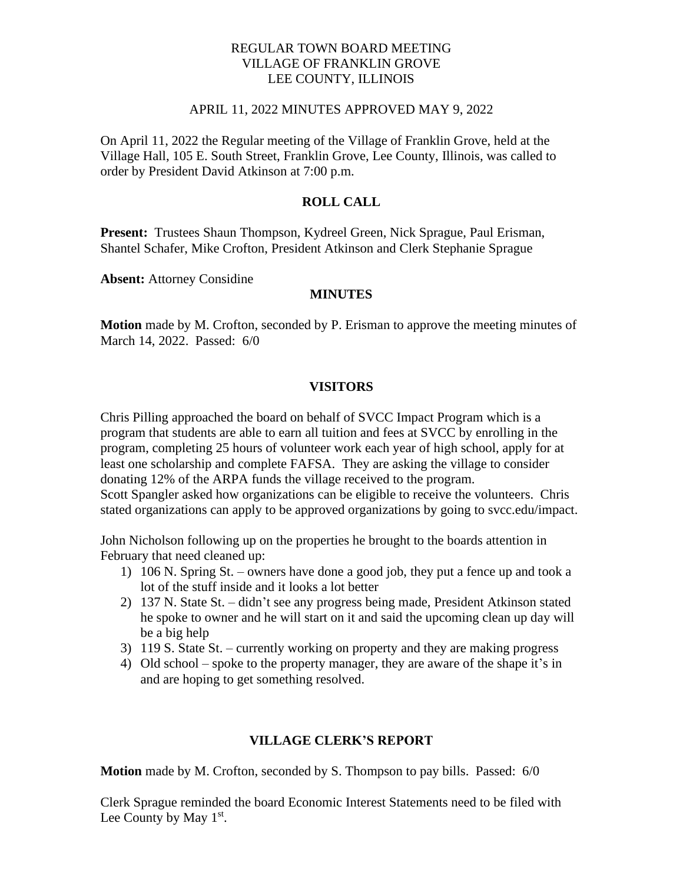### REGULAR TOWN BOARD MEETING VILLAGE OF FRANKLIN GROVE LEE COUNTY, ILLINOIS

#### APRIL 11, 2022 MINUTES APPROVED MAY 9, 2022

On April 11, 2022 the Regular meeting of the Village of Franklin Grove, held at the Village Hall, 105 E. South Street, Franklin Grove, Lee County, Illinois, was called to order by President David Atkinson at 7:00 p.m.

### **ROLL CALL**

**Present:** Trustees Shaun Thompson, Kydreel Green, Nick Sprague, Paul Erisman, Shantel Schafer, Mike Crofton, President Atkinson and Clerk Stephanie Sprague

**Absent:** Attorney Considine

#### **MINUTES**

**Motion** made by M. Crofton, seconded by P. Erisman to approve the meeting minutes of March 14, 2022. Passed: 6/0

#### **VISITORS**

Chris Pilling approached the board on behalf of SVCC Impact Program which is a program that students are able to earn all tuition and fees at SVCC by enrolling in the program, completing 25 hours of volunteer work each year of high school, apply for at least one scholarship and complete FAFSA. They are asking the village to consider donating 12% of the ARPA funds the village received to the program. Scott Spangler asked how organizations can be eligible to receive the volunteers. Chris stated organizations can apply to be approved organizations by going to svcc.edu/impact.

John Nicholson following up on the properties he brought to the boards attention in February that need cleaned up:

- 1) 106 N. Spring St. owners have done a good job, they put a fence up and took a lot of the stuff inside and it looks a lot better
- 2) 137 N. State St. didn't see any progress being made, President Atkinson stated he spoke to owner and he will start on it and said the upcoming clean up day will be a big help
- 3) 119 S. State St. currently working on property and they are making progress
- 4) Old school spoke to the property manager, they are aware of the shape it's in and are hoping to get something resolved.

#### **VILLAGE CLERK'S REPORT**

**Motion** made by M. Crofton, seconded by S. Thompson to pay bills. Passed: 6/0

Clerk Sprague reminded the board Economic Interest Statements need to be filed with Lee County by May  $1<sup>st</sup>$ .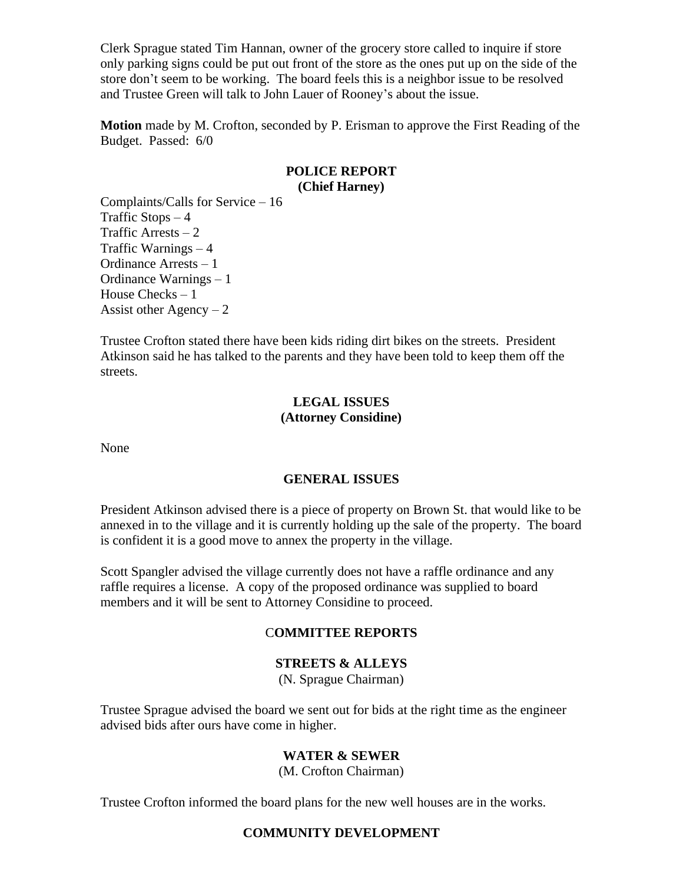Clerk Sprague stated Tim Hannan, owner of the grocery store called to inquire if store only parking signs could be put out front of the store as the ones put up on the side of the store don't seem to be working. The board feels this is a neighbor issue to be resolved and Trustee Green will talk to John Lauer of Rooney's about the issue.

**Motion** made by M. Crofton, seconded by P. Erisman to approve the First Reading of the Budget. Passed: 6/0

### **POLICE REPORT (Chief Harney)**

Complaints/Calls for Service – 16 Traffic Stops  $-4$ Traffic Arrests  $-2$ Traffic Warnings – 4 Ordinance Arrests – 1 Ordinance Warnings – 1 House Checks – 1 Assist other Agency  $-2$ 

Trustee Crofton stated there have been kids riding dirt bikes on the streets. President Atkinson said he has talked to the parents and they have been told to keep them off the streets.

# **LEGAL ISSUES (Attorney Considine)**

None

# **GENERAL ISSUES**

President Atkinson advised there is a piece of property on Brown St. that would like to be annexed in to the village and it is currently holding up the sale of the property. The board is confident it is a good move to annex the property in the village.

Scott Spangler advised the village currently does not have a raffle ordinance and any raffle requires a license. A copy of the proposed ordinance was supplied to board members and it will be sent to Attorney Considine to proceed.

### C**OMMITTEE REPORTS**

### **STREETS & ALLEYS**

(N. Sprague Chairman)

Trustee Sprague advised the board we sent out for bids at the right time as the engineer advised bids after ours have come in higher.

# **WATER & SEWER**

(M. Crofton Chairman)

Trustee Crofton informed the board plans for the new well houses are in the works.

### **COMMUNITY DEVELOPMENT**